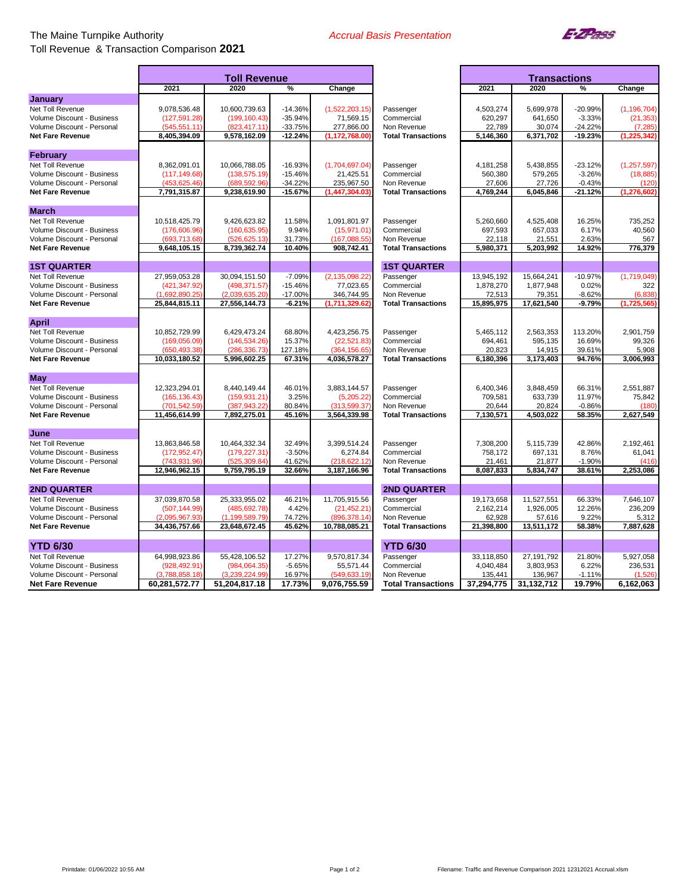## The Maine Turnpike Authority Toll Revenue & Transaction Comparison **2021**



| 2021<br>2020<br>2021<br>2020<br>%<br>Change<br>%<br>Change<br><b>January</b><br>Net Toll Revenue<br>9,078,536.48<br>10,600,739.63<br>$-14.36%$<br>(1,522,203.15)<br>4,503,274<br>5,699,978<br>-20.99%<br>Passenger<br>(199, 160.43)<br>$-35.94%$<br>620,297<br>641,650<br>$-3.33%$<br>Volume Discount - Business<br>(127, 591.28)<br>71,569.15<br>Commercial<br>$-33.75%$<br>277,866.00<br>22,789<br>$-24.22%$<br>Volume Discount - Personal<br>(545, 551.11)<br>(823, 417.11)<br>Non Revenue<br>30,074<br>(7, 285)<br>$-12.24%$<br>6,371,702<br>$-19.23%$<br>8,405,394.09<br>9,578,162.09<br>(1, 172, 768.00)<br>5,146,360<br>(1, 225, 342)<br><b>Net Fare Revenue</b><br><b>Total Transactions</b><br><b>February</b><br>Net Toll Revenue<br>8,362,091.01<br>10,066,788.05<br>$-16.93%$<br>(1,704,697.04)<br>4,181,258<br>5,438,855<br>$-23.12%$<br>(1, 257, 597)<br>Passenger<br>$-15.46%$<br>21,425.51<br>579,265<br>$-3.26%$<br>(18, 885)<br>Volume Discount - Business<br>(117, 149.68)<br>(138, 575.19)<br>Commercial<br>560,380<br>(453,625.46)<br>(689.592.96)<br>$-34.22%$<br>235,967.50<br>27,726<br>$-0.43%$<br>Volume Discount - Personal<br>Non Revenue<br>27,606<br>(120)<br>7,791,315.87<br>9,238,619.90<br>$-15.67%$<br>(1, 447, 304.03)<br>4,769,244<br>6,045,846<br>$-21.12%$<br>(1, 276, 602)<br><b>Net Fare Revenue</b><br><b>Total Transactions</b><br><b>March</b><br>1,091,801.97<br>Net Toll Revenue<br>10,518,425.79<br>9.426.623.82<br>11.58%<br>Passenger<br>5,260,660<br>4,525,408<br>16.25%<br>735.252<br>9.94%<br>697,593<br>657,033<br>6.17%<br>40,560<br>Volume Discount - Business<br>(176, 606.96)<br>(160, 635.95)<br>(15, 971.01)<br>Commercial<br>Volume Discount - Personal<br>(693,713.68)<br>(526.625.13)<br>31.73%<br>(167,088.55)<br>Non Revenue<br>22,118<br>21,551<br>2.63%<br>567<br>908,742.41<br>776,379<br>Net Fare Revenue<br>9,648,105.15<br>8,739,362.74<br>10.40%<br><b>Total Transactions</b><br>5,980,371<br>5,203,992<br>14.92%<br><b>1ST QUARTER</b><br><b>1ST QUARTER</b><br>27.959.053.28<br>30,094,151.50<br>$-7.09%$<br>(2, 135, 098.22)<br>13,945,192<br>15,664,241<br>$-10.97%$<br>(1,719,049)<br>Net Toll Revenue<br>Passenger<br>(498, 371.57)<br>$-15.46%$<br>77,023.65<br>1,878,270<br>1,877,948<br>0.02%<br>Volume Discount - Business<br>(421, 347.92)<br>Commercial<br>322<br>(1.692.890.25<br>$-17.00%$<br>346,744.95<br>79,351<br>$-8.62%$<br>Volume Discount - Personal<br>(2.039.635.20)<br>Non Revenue<br>72,513<br>(6,838)<br>(1,711,329.62)<br>17,621,540<br>(1,725,565)<br>25,844,815.11<br>27,556,144.73<br>$-6.21%$<br>15,895,975<br>$-9.79%$<br><b>Net Fare Revenue</b><br><b>Total Transactions</b><br><b>April</b><br>10,852,729.99<br>6,429,473.24<br>68.80%<br>4,423,256.75<br>2,563,353<br>113.20%<br>2,901,759<br>Net Toll Revenue<br>Passenger<br>5,465,112<br>694,461<br>595,135<br>16.69%<br>99,326<br>Volume Discount - Business<br>(169, 056.09)<br>(146, 534.26)<br>15.37%<br>(22, 521.83)<br>Commercial<br>Volume Discount - Personal<br>(650,493.38)<br>(286,336.73<br>127.18%<br>(364, 156.65)<br>20,823<br>14,915<br>39.61%<br>5,908<br>Non Revenue<br>67.31%<br>4,036,578.27<br>3,173,403<br>94.76%<br>3,006,993<br><b>Net Fare Revenue</b><br>10,033,180.52<br>5,996,602.25<br><b>Total Transactions</b><br>6,180,396<br><b>May</b><br>Net Toll Revenue<br>12,323,294.01<br>8,440,149.44<br>46.01%<br>3,883,144.57<br>Passenger<br>6,400,346<br>3,848,459<br>66.31%<br>2,551,887<br>Volume Discount - Business<br>(165, 136.43)<br>(159, 931.21)<br>3.25%<br>(5,205.22)<br>Commercial<br>709,581<br>633,739<br>11.97%<br>75,842<br>(701,542.59)<br>(313,599.37<br>(387,943.22<br>80.84%<br>Non Revenue<br>20,644<br>20,824<br>$-0.86%$<br>(180)<br>Volume Discount - Personal<br>11,456,614.99<br>7,892,275.01<br>45.16%<br>3,564,339.98<br><b>Total Transactions</b><br>7,130,571<br>4,503,022<br>58.35%<br>2,627,549<br><b>Net Fare Revenue</b><br>June<br>10,464,332.34<br>32.49%<br>3,399,514.24<br>42.86%<br>2,192,461<br>Net Toll Revenue<br>13,863,846.58<br>Passenger<br>7,308,200<br>5,115,739<br>Volume Discount - Business<br>(172, 952.47)<br>(179, 227.31)<br>$-3.50%$<br>6,274.84<br>Commercial<br>758,172<br>697,131<br>8.76%<br>61,041<br>(218, 622.12)<br>(743,931.96)<br>(525,309.84<br>41.62%<br>21,461<br>21,877<br>$-1.90%$<br>(416)<br>Volume Discount - Personal<br>Non Revenue<br>9,759,795.19<br>32.66%<br>5,834,747<br>12,946,962.15<br>3,187,166.96<br>8,087,833<br>38.61%<br>2,253,086<br><b>Net Fare Revenue</b><br><b>Total Transactions</b><br><b>2ND QUARTER</b><br><b>2ND QUARTER</b><br>37,039,870.58<br>25,333,955.02<br>46.21%<br>11,705,915.56<br>11,527,551<br>66.33%<br>7,646,107<br>Net Toll Revenue<br>Passenger<br>19,173,658<br>1,926,005<br>Volume Discount - Business<br>(507, 144.99)<br>(485, 692.78)<br>4.42%<br>(21, 452.21)<br>Commercial<br>2,162,214<br>12.26%<br>236,209<br>Volume Discount - Personal<br>(2,095,967.93)<br>(1, 199, 589.79)<br>74.72%<br>(896, 378.14)<br>62,928<br>57,616<br>9.22%<br>5,312<br>Non Revenue | <b>Toll Revenue</b> |  |  |  | <b>Transactions</b> |  |  |               |
|--------------------------------------------------------------------------------------------------------------------------------------------------------------------------------------------------------------------------------------------------------------------------------------------------------------------------------------------------------------------------------------------------------------------------------------------------------------------------------------------------------------------------------------------------------------------------------------------------------------------------------------------------------------------------------------------------------------------------------------------------------------------------------------------------------------------------------------------------------------------------------------------------------------------------------------------------------------------------------------------------------------------------------------------------------------------------------------------------------------------------------------------------------------------------------------------------------------------------------------------------------------------------------------------------------------------------------------------------------------------------------------------------------------------------------------------------------------------------------------------------------------------------------------------------------------------------------------------------------------------------------------------------------------------------------------------------------------------------------------------------------------------------------------------------------------------------------------------------------------------------------------------------------------------------------------------------------------------------------------------------------------------------------------------------------------------------------------------------------------------------------------------------------------------------------------------------------------------------------------------------------------------------------------------------------------------------------------------------------------------------------------------------------------------------------------------------------------------------------------------------------------------------------------------------------------------------------------------------------------------------------------------------------------------------------------------------------------------------------------------------------------------------------------------------------------------------------------------------------------------------------------------------------------------------------------------------------------------------------------------------------------------------------------------------------------------------------------------------------------------------------------------------------------------------------------------------------------------------------------------------------------------------------------------------------------------------------------------------------------------------------------------------------------------------------------------------------------------------------------------------------------------------------------------------------------------------------------------------------------------------------------------------------------------------------------------------------------------------------------------------------------------------------------------------------------------------------------------------------------------------------------------------------------------------------------------------------------------------------------------------------------------------------------------------------------------------------------------------------------------------------------------------------------------------------------------------------------------------------------------------------------------------------------------------------------------------------------------------------------------------------------------------------------------------------------------------------------------------------------------------------------------------------------------------------------------------------------------------------------------------------------------------------------------------------------------------------------------------------------------------------------------------------------------------------------------------------------------------------------------------------------------------------------------------------------------------------------------------------------------------------------------------------------------------------------------------------------|---------------------|--|--|--|---------------------|--|--|---------------|
|                                                                                                                                                                                                                                                                                                                                                                                                                                                                                                                                                                                                                                                                                                                                                                                                                                                                                                                                                                                                                                                                                                                                                                                                                                                                                                                                                                                                                                                                                                                                                                                                                                                                                                                                                                                                                                                                                                                                                                                                                                                                                                                                                                                                                                                                                                                                                                                                                                                                                                                                                                                                                                                                                                                                                                                                                                                                                                                                                                                                                                                                                                                                                                                                                                                                                                                                                                                                                                                                                                                                                                                                                                                                                                                                                                                                                                                                                                                                                                                                                                                                                                                                                                                                                                                                                                                                                                                                                                                                                                                                                                                                                                                                                                                                                                                                                                                                                                                                                                                                                                                                                      |                     |  |  |  |                     |  |  |               |
|                                                                                                                                                                                                                                                                                                                                                                                                                                                                                                                                                                                                                                                                                                                                                                                                                                                                                                                                                                                                                                                                                                                                                                                                                                                                                                                                                                                                                                                                                                                                                                                                                                                                                                                                                                                                                                                                                                                                                                                                                                                                                                                                                                                                                                                                                                                                                                                                                                                                                                                                                                                                                                                                                                                                                                                                                                                                                                                                                                                                                                                                                                                                                                                                                                                                                                                                                                                                                                                                                                                                                                                                                                                                                                                                                                                                                                                                                                                                                                                                                                                                                                                                                                                                                                                                                                                                                                                                                                                                                                                                                                                                                                                                                                                                                                                                                                                                                                                                                                                                                                                                                      |                     |  |  |  |                     |  |  |               |
|                                                                                                                                                                                                                                                                                                                                                                                                                                                                                                                                                                                                                                                                                                                                                                                                                                                                                                                                                                                                                                                                                                                                                                                                                                                                                                                                                                                                                                                                                                                                                                                                                                                                                                                                                                                                                                                                                                                                                                                                                                                                                                                                                                                                                                                                                                                                                                                                                                                                                                                                                                                                                                                                                                                                                                                                                                                                                                                                                                                                                                                                                                                                                                                                                                                                                                                                                                                                                                                                                                                                                                                                                                                                                                                                                                                                                                                                                                                                                                                                                                                                                                                                                                                                                                                                                                                                                                                                                                                                                                                                                                                                                                                                                                                                                                                                                                                                                                                                                                                                                                                                                      |                     |  |  |  |                     |  |  | (1, 196, 704) |
|                                                                                                                                                                                                                                                                                                                                                                                                                                                                                                                                                                                                                                                                                                                                                                                                                                                                                                                                                                                                                                                                                                                                                                                                                                                                                                                                                                                                                                                                                                                                                                                                                                                                                                                                                                                                                                                                                                                                                                                                                                                                                                                                                                                                                                                                                                                                                                                                                                                                                                                                                                                                                                                                                                                                                                                                                                                                                                                                                                                                                                                                                                                                                                                                                                                                                                                                                                                                                                                                                                                                                                                                                                                                                                                                                                                                                                                                                                                                                                                                                                                                                                                                                                                                                                                                                                                                                                                                                                                                                                                                                                                                                                                                                                                                                                                                                                                                                                                                                                                                                                                                                      |                     |  |  |  |                     |  |  | (21, 353)     |
|                                                                                                                                                                                                                                                                                                                                                                                                                                                                                                                                                                                                                                                                                                                                                                                                                                                                                                                                                                                                                                                                                                                                                                                                                                                                                                                                                                                                                                                                                                                                                                                                                                                                                                                                                                                                                                                                                                                                                                                                                                                                                                                                                                                                                                                                                                                                                                                                                                                                                                                                                                                                                                                                                                                                                                                                                                                                                                                                                                                                                                                                                                                                                                                                                                                                                                                                                                                                                                                                                                                                                                                                                                                                                                                                                                                                                                                                                                                                                                                                                                                                                                                                                                                                                                                                                                                                                                                                                                                                                                                                                                                                                                                                                                                                                                                                                                                                                                                                                                                                                                                                                      |                     |  |  |  |                     |  |  |               |
|                                                                                                                                                                                                                                                                                                                                                                                                                                                                                                                                                                                                                                                                                                                                                                                                                                                                                                                                                                                                                                                                                                                                                                                                                                                                                                                                                                                                                                                                                                                                                                                                                                                                                                                                                                                                                                                                                                                                                                                                                                                                                                                                                                                                                                                                                                                                                                                                                                                                                                                                                                                                                                                                                                                                                                                                                                                                                                                                                                                                                                                                                                                                                                                                                                                                                                                                                                                                                                                                                                                                                                                                                                                                                                                                                                                                                                                                                                                                                                                                                                                                                                                                                                                                                                                                                                                                                                                                                                                                                                                                                                                                                                                                                                                                                                                                                                                                                                                                                                                                                                                                                      |                     |  |  |  |                     |  |  |               |
|                                                                                                                                                                                                                                                                                                                                                                                                                                                                                                                                                                                                                                                                                                                                                                                                                                                                                                                                                                                                                                                                                                                                                                                                                                                                                                                                                                                                                                                                                                                                                                                                                                                                                                                                                                                                                                                                                                                                                                                                                                                                                                                                                                                                                                                                                                                                                                                                                                                                                                                                                                                                                                                                                                                                                                                                                                                                                                                                                                                                                                                                                                                                                                                                                                                                                                                                                                                                                                                                                                                                                                                                                                                                                                                                                                                                                                                                                                                                                                                                                                                                                                                                                                                                                                                                                                                                                                                                                                                                                                                                                                                                                                                                                                                                                                                                                                                                                                                                                                                                                                                                                      |                     |  |  |  |                     |  |  |               |
|                                                                                                                                                                                                                                                                                                                                                                                                                                                                                                                                                                                                                                                                                                                                                                                                                                                                                                                                                                                                                                                                                                                                                                                                                                                                                                                                                                                                                                                                                                                                                                                                                                                                                                                                                                                                                                                                                                                                                                                                                                                                                                                                                                                                                                                                                                                                                                                                                                                                                                                                                                                                                                                                                                                                                                                                                                                                                                                                                                                                                                                                                                                                                                                                                                                                                                                                                                                                                                                                                                                                                                                                                                                                                                                                                                                                                                                                                                                                                                                                                                                                                                                                                                                                                                                                                                                                                                                                                                                                                                                                                                                                                                                                                                                                                                                                                                                                                                                                                                                                                                                                                      |                     |  |  |  |                     |  |  |               |
|                                                                                                                                                                                                                                                                                                                                                                                                                                                                                                                                                                                                                                                                                                                                                                                                                                                                                                                                                                                                                                                                                                                                                                                                                                                                                                                                                                                                                                                                                                                                                                                                                                                                                                                                                                                                                                                                                                                                                                                                                                                                                                                                                                                                                                                                                                                                                                                                                                                                                                                                                                                                                                                                                                                                                                                                                                                                                                                                                                                                                                                                                                                                                                                                                                                                                                                                                                                                                                                                                                                                                                                                                                                                                                                                                                                                                                                                                                                                                                                                                                                                                                                                                                                                                                                                                                                                                                                                                                                                                                                                                                                                                                                                                                                                                                                                                                                                                                                                                                                                                                                                                      |                     |  |  |  |                     |  |  |               |
|                                                                                                                                                                                                                                                                                                                                                                                                                                                                                                                                                                                                                                                                                                                                                                                                                                                                                                                                                                                                                                                                                                                                                                                                                                                                                                                                                                                                                                                                                                                                                                                                                                                                                                                                                                                                                                                                                                                                                                                                                                                                                                                                                                                                                                                                                                                                                                                                                                                                                                                                                                                                                                                                                                                                                                                                                                                                                                                                                                                                                                                                                                                                                                                                                                                                                                                                                                                                                                                                                                                                                                                                                                                                                                                                                                                                                                                                                                                                                                                                                                                                                                                                                                                                                                                                                                                                                                                                                                                                                                                                                                                                                                                                                                                                                                                                                                                                                                                                                                                                                                                                                      |                     |  |  |  |                     |  |  |               |
|                                                                                                                                                                                                                                                                                                                                                                                                                                                                                                                                                                                                                                                                                                                                                                                                                                                                                                                                                                                                                                                                                                                                                                                                                                                                                                                                                                                                                                                                                                                                                                                                                                                                                                                                                                                                                                                                                                                                                                                                                                                                                                                                                                                                                                                                                                                                                                                                                                                                                                                                                                                                                                                                                                                                                                                                                                                                                                                                                                                                                                                                                                                                                                                                                                                                                                                                                                                                                                                                                                                                                                                                                                                                                                                                                                                                                                                                                                                                                                                                                                                                                                                                                                                                                                                                                                                                                                                                                                                                                                                                                                                                                                                                                                                                                                                                                                                                                                                                                                                                                                                                                      |                     |  |  |  |                     |  |  |               |
|                                                                                                                                                                                                                                                                                                                                                                                                                                                                                                                                                                                                                                                                                                                                                                                                                                                                                                                                                                                                                                                                                                                                                                                                                                                                                                                                                                                                                                                                                                                                                                                                                                                                                                                                                                                                                                                                                                                                                                                                                                                                                                                                                                                                                                                                                                                                                                                                                                                                                                                                                                                                                                                                                                                                                                                                                                                                                                                                                                                                                                                                                                                                                                                                                                                                                                                                                                                                                                                                                                                                                                                                                                                                                                                                                                                                                                                                                                                                                                                                                                                                                                                                                                                                                                                                                                                                                                                                                                                                                                                                                                                                                                                                                                                                                                                                                                                                                                                                                                                                                                                                                      |                     |  |  |  |                     |  |  |               |
|                                                                                                                                                                                                                                                                                                                                                                                                                                                                                                                                                                                                                                                                                                                                                                                                                                                                                                                                                                                                                                                                                                                                                                                                                                                                                                                                                                                                                                                                                                                                                                                                                                                                                                                                                                                                                                                                                                                                                                                                                                                                                                                                                                                                                                                                                                                                                                                                                                                                                                                                                                                                                                                                                                                                                                                                                                                                                                                                                                                                                                                                                                                                                                                                                                                                                                                                                                                                                                                                                                                                                                                                                                                                                                                                                                                                                                                                                                                                                                                                                                                                                                                                                                                                                                                                                                                                                                                                                                                                                                                                                                                                                                                                                                                                                                                                                                                                                                                                                                                                                                                                                      |                     |  |  |  |                     |  |  |               |
|                                                                                                                                                                                                                                                                                                                                                                                                                                                                                                                                                                                                                                                                                                                                                                                                                                                                                                                                                                                                                                                                                                                                                                                                                                                                                                                                                                                                                                                                                                                                                                                                                                                                                                                                                                                                                                                                                                                                                                                                                                                                                                                                                                                                                                                                                                                                                                                                                                                                                                                                                                                                                                                                                                                                                                                                                                                                                                                                                                                                                                                                                                                                                                                                                                                                                                                                                                                                                                                                                                                                                                                                                                                                                                                                                                                                                                                                                                                                                                                                                                                                                                                                                                                                                                                                                                                                                                                                                                                                                                                                                                                                                                                                                                                                                                                                                                                                                                                                                                                                                                                                                      |                     |  |  |  |                     |  |  |               |
|                                                                                                                                                                                                                                                                                                                                                                                                                                                                                                                                                                                                                                                                                                                                                                                                                                                                                                                                                                                                                                                                                                                                                                                                                                                                                                                                                                                                                                                                                                                                                                                                                                                                                                                                                                                                                                                                                                                                                                                                                                                                                                                                                                                                                                                                                                                                                                                                                                                                                                                                                                                                                                                                                                                                                                                                                                                                                                                                                                                                                                                                                                                                                                                                                                                                                                                                                                                                                                                                                                                                                                                                                                                                                                                                                                                                                                                                                                                                                                                                                                                                                                                                                                                                                                                                                                                                                                                                                                                                                                                                                                                                                                                                                                                                                                                                                                                                                                                                                                                                                                                                                      |                     |  |  |  |                     |  |  |               |
|                                                                                                                                                                                                                                                                                                                                                                                                                                                                                                                                                                                                                                                                                                                                                                                                                                                                                                                                                                                                                                                                                                                                                                                                                                                                                                                                                                                                                                                                                                                                                                                                                                                                                                                                                                                                                                                                                                                                                                                                                                                                                                                                                                                                                                                                                                                                                                                                                                                                                                                                                                                                                                                                                                                                                                                                                                                                                                                                                                                                                                                                                                                                                                                                                                                                                                                                                                                                                                                                                                                                                                                                                                                                                                                                                                                                                                                                                                                                                                                                                                                                                                                                                                                                                                                                                                                                                                                                                                                                                                                                                                                                                                                                                                                                                                                                                                                                                                                                                                                                                                                                                      |                     |  |  |  |                     |  |  |               |
|                                                                                                                                                                                                                                                                                                                                                                                                                                                                                                                                                                                                                                                                                                                                                                                                                                                                                                                                                                                                                                                                                                                                                                                                                                                                                                                                                                                                                                                                                                                                                                                                                                                                                                                                                                                                                                                                                                                                                                                                                                                                                                                                                                                                                                                                                                                                                                                                                                                                                                                                                                                                                                                                                                                                                                                                                                                                                                                                                                                                                                                                                                                                                                                                                                                                                                                                                                                                                                                                                                                                                                                                                                                                                                                                                                                                                                                                                                                                                                                                                                                                                                                                                                                                                                                                                                                                                                                                                                                                                                                                                                                                                                                                                                                                                                                                                                                                                                                                                                                                                                                                                      |                     |  |  |  |                     |  |  |               |
|                                                                                                                                                                                                                                                                                                                                                                                                                                                                                                                                                                                                                                                                                                                                                                                                                                                                                                                                                                                                                                                                                                                                                                                                                                                                                                                                                                                                                                                                                                                                                                                                                                                                                                                                                                                                                                                                                                                                                                                                                                                                                                                                                                                                                                                                                                                                                                                                                                                                                                                                                                                                                                                                                                                                                                                                                                                                                                                                                                                                                                                                                                                                                                                                                                                                                                                                                                                                                                                                                                                                                                                                                                                                                                                                                                                                                                                                                                                                                                                                                                                                                                                                                                                                                                                                                                                                                                                                                                                                                                                                                                                                                                                                                                                                                                                                                                                                                                                                                                                                                                                                                      |                     |  |  |  |                     |  |  |               |
|                                                                                                                                                                                                                                                                                                                                                                                                                                                                                                                                                                                                                                                                                                                                                                                                                                                                                                                                                                                                                                                                                                                                                                                                                                                                                                                                                                                                                                                                                                                                                                                                                                                                                                                                                                                                                                                                                                                                                                                                                                                                                                                                                                                                                                                                                                                                                                                                                                                                                                                                                                                                                                                                                                                                                                                                                                                                                                                                                                                                                                                                                                                                                                                                                                                                                                                                                                                                                                                                                                                                                                                                                                                                                                                                                                                                                                                                                                                                                                                                                                                                                                                                                                                                                                                                                                                                                                                                                                                                                                                                                                                                                                                                                                                                                                                                                                                                                                                                                                                                                                                                                      |                     |  |  |  |                     |  |  |               |
|                                                                                                                                                                                                                                                                                                                                                                                                                                                                                                                                                                                                                                                                                                                                                                                                                                                                                                                                                                                                                                                                                                                                                                                                                                                                                                                                                                                                                                                                                                                                                                                                                                                                                                                                                                                                                                                                                                                                                                                                                                                                                                                                                                                                                                                                                                                                                                                                                                                                                                                                                                                                                                                                                                                                                                                                                                                                                                                                                                                                                                                                                                                                                                                                                                                                                                                                                                                                                                                                                                                                                                                                                                                                                                                                                                                                                                                                                                                                                                                                                                                                                                                                                                                                                                                                                                                                                                                                                                                                                                                                                                                                                                                                                                                                                                                                                                                                                                                                                                                                                                                                                      |                     |  |  |  |                     |  |  |               |
|                                                                                                                                                                                                                                                                                                                                                                                                                                                                                                                                                                                                                                                                                                                                                                                                                                                                                                                                                                                                                                                                                                                                                                                                                                                                                                                                                                                                                                                                                                                                                                                                                                                                                                                                                                                                                                                                                                                                                                                                                                                                                                                                                                                                                                                                                                                                                                                                                                                                                                                                                                                                                                                                                                                                                                                                                                                                                                                                                                                                                                                                                                                                                                                                                                                                                                                                                                                                                                                                                                                                                                                                                                                                                                                                                                                                                                                                                                                                                                                                                                                                                                                                                                                                                                                                                                                                                                                                                                                                                                                                                                                                                                                                                                                                                                                                                                                                                                                                                                                                                                                                                      |                     |  |  |  |                     |  |  |               |
|                                                                                                                                                                                                                                                                                                                                                                                                                                                                                                                                                                                                                                                                                                                                                                                                                                                                                                                                                                                                                                                                                                                                                                                                                                                                                                                                                                                                                                                                                                                                                                                                                                                                                                                                                                                                                                                                                                                                                                                                                                                                                                                                                                                                                                                                                                                                                                                                                                                                                                                                                                                                                                                                                                                                                                                                                                                                                                                                                                                                                                                                                                                                                                                                                                                                                                                                                                                                                                                                                                                                                                                                                                                                                                                                                                                                                                                                                                                                                                                                                                                                                                                                                                                                                                                                                                                                                                                                                                                                                                                                                                                                                                                                                                                                                                                                                                                                                                                                                                                                                                                                                      |                     |  |  |  |                     |  |  |               |
|                                                                                                                                                                                                                                                                                                                                                                                                                                                                                                                                                                                                                                                                                                                                                                                                                                                                                                                                                                                                                                                                                                                                                                                                                                                                                                                                                                                                                                                                                                                                                                                                                                                                                                                                                                                                                                                                                                                                                                                                                                                                                                                                                                                                                                                                                                                                                                                                                                                                                                                                                                                                                                                                                                                                                                                                                                                                                                                                                                                                                                                                                                                                                                                                                                                                                                                                                                                                                                                                                                                                                                                                                                                                                                                                                                                                                                                                                                                                                                                                                                                                                                                                                                                                                                                                                                                                                                                                                                                                                                                                                                                                                                                                                                                                                                                                                                                                                                                                                                                                                                                                                      |                     |  |  |  |                     |  |  |               |
|                                                                                                                                                                                                                                                                                                                                                                                                                                                                                                                                                                                                                                                                                                                                                                                                                                                                                                                                                                                                                                                                                                                                                                                                                                                                                                                                                                                                                                                                                                                                                                                                                                                                                                                                                                                                                                                                                                                                                                                                                                                                                                                                                                                                                                                                                                                                                                                                                                                                                                                                                                                                                                                                                                                                                                                                                                                                                                                                                                                                                                                                                                                                                                                                                                                                                                                                                                                                                                                                                                                                                                                                                                                                                                                                                                                                                                                                                                                                                                                                                                                                                                                                                                                                                                                                                                                                                                                                                                                                                                                                                                                                                                                                                                                                                                                                                                                                                                                                                                                                                                                                                      |                     |  |  |  |                     |  |  |               |
|                                                                                                                                                                                                                                                                                                                                                                                                                                                                                                                                                                                                                                                                                                                                                                                                                                                                                                                                                                                                                                                                                                                                                                                                                                                                                                                                                                                                                                                                                                                                                                                                                                                                                                                                                                                                                                                                                                                                                                                                                                                                                                                                                                                                                                                                                                                                                                                                                                                                                                                                                                                                                                                                                                                                                                                                                                                                                                                                                                                                                                                                                                                                                                                                                                                                                                                                                                                                                                                                                                                                                                                                                                                                                                                                                                                                                                                                                                                                                                                                                                                                                                                                                                                                                                                                                                                                                                                                                                                                                                                                                                                                                                                                                                                                                                                                                                                                                                                                                                                                                                                                                      |                     |  |  |  |                     |  |  |               |
|                                                                                                                                                                                                                                                                                                                                                                                                                                                                                                                                                                                                                                                                                                                                                                                                                                                                                                                                                                                                                                                                                                                                                                                                                                                                                                                                                                                                                                                                                                                                                                                                                                                                                                                                                                                                                                                                                                                                                                                                                                                                                                                                                                                                                                                                                                                                                                                                                                                                                                                                                                                                                                                                                                                                                                                                                                                                                                                                                                                                                                                                                                                                                                                                                                                                                                                                                                                                                                                                                                                                                                                                                                                                                                                                                                                                                                                                                                                                                                                                                                                                                                                                                                                                                                                                                                                                                                                                                                                                                                                                                                                                                                                                                                                                                                                                                                                                                                                                                                                                                                                                                      |                     |  |  |  |                     |  |  |               |
|                                                                                                                                                                                                                                                                                                                                                                                                                                                                                                                                                                                                                                                                                                                                                                                                                                                                                                                                                                                                                                                                                                                                                                                                                                                                                                                                                                                                                                                                                                                                                                                                                                                                                                                                                                                                                                                                                                                                                                                                                                                                                                                                                                                                                                                                                                                                                                                                                                                                                                                                                                                                                                                                                                                                                                                                                                                                                                                                                                                                                                                                                                                                                                                                                                                                                                                                                                                                                                                                                                                                                                                                                                                                                                                                                                                                                                                                                                                                                                                                                                                                                                                                                                                                                                                                                                                                                                                                                                                                                                                                                                                                                                                                                                                                                                                                                                                                                                                                                                                                                                                                                      |                     |  |  |  |                     |  |  |               |
|                                                                                                                                                                                                                                                                                                                                                                                                                                                                                                                                                                                                                                                                                                                                                                                                                                                                                                                                                                                                                                                                                                                                                                                                                                                                                                                                                                                                                                                                                                                                                                                                                                                                                                                                                                                                                                                                                                                                                                                                                                                                                                                                                                                                                                                                                                                                                                                                                                                                                                                                                                                                                                                                                                                                                                                                                                                                                                                                                                                                                                                                                                                                                                                                                                                                                                                                                                                                                                                                                                                                                                                                                                                                                                                                                                                                                                                                                                                                                                                                                                                                                                                                                                                                                                                                                                                                                                                                                                                                                                                                                                                                                                                                                                                                                                                                                                                                                                                                                                                                                                                                                      |                     |  |  |  |                     |  |  |               |
|                                                                                                                                                                                                                                                                                                                                                                                                                                                                                                                                                                                                                                                                                                                                                                                                                                                                                                                                                                                                                                                                                                                                                                                                                                                                                                                                                                                                                                                                                                                                                                                                                                                                                                                                                                                                                                                                                                                                                                                                                                                                                                                                                                                                                                                                                                                                                                                                                                                                                                                                                                                                                                                                                                                                                                                                                                                                                                                                                                                                                                                                                                                                                                                                                                                                                                                                                                                                                                                                                                                                                                                                                                                                                                                                                                                                                                                                                                                                                                                                                                                                                                                                                                                                                                                                                                                                                                                                                                                                                                                                                                                                                                                                                                                                                                                                                                                                                                                                                                                                                                                                                      |                     |  |  |  |                     |  |  |               |
|                                                                                                                                                                                                                                                                                                                                                                                                                                                                                                                                                                                                                                                                                                                                                                                                                                                                                                                                                                                                                                                                                                                                                                                                                                                                                                                                                                                                                                                                                                                                                                                                                                                                                                                                                                                                                                                                                                                                                                                                                                                                                                                                                                                                                                                                                                                                                                                                                                                                                                                                                                                                                                                                                                                                                                                                                                                                                                                                                                                                                                                                                                                                                                                                                                                                                                                                                                                                                                                                                                                                                                                                                                                                                                                                                                                                                                                                                                                                                                                                                                                                                                                                                                                                                                                                                                                                                                                                                                                                                                                                                                                                                                                                                                                                                                                                                                                                                                                                                                                                                                                                                      |                     |  |  |  |                     |  |  |               |
|                                                                                                                                                                                                                                                                                                                                                                                                                                                                                                                                                                                                                                                                                                                                                                                                                                                                                                                                                                                                                                                                                                                                                                                                                                                                                                                                                                                                                                                                                                                                                                                                                                                                                                                                                                                                                                                                                                                                                                                                                                                                                                                                                                                                                                                                                                                                                                                                                                                                                                                                                                                                                                                                                                                                                                                                                                                                                                                                                                                                                                                                                                                                                                                                                                                                                                                                                                                                                                                                                                                                                                                                                                                                                                                                                                                                                                                                                                                                                                                                                                                                                                                                                                                                                                                                                                                                                                                                                                                                                                                                                                                                                                                                                                                                                                                                                                                                                                                                                                                                                                                                                      |                     |  |  |  |                     |  |  |               |
|                                                                                                                                                                                                                                                                                                                                                                                                                                                                                                                                                                                                                                                                                                                                                                                                                                                                                                                                                                                                                                                                                                                                                                                                                                                                                                                                                                                                                                                                                                                                                                                                                                                                                                                                                                                                                                                                                                                                                                                                                                                                                                                                                                                                                                                                                                                                                                                                                                                                                                                                                                                                                                                                                                                                                                                                                                                                                                                                                                                                                                                                                                                                                                                                                                                                                                                                                                                                                                                                                                                                                                                                                                                                                                                                                                                                                                                                                                                                                                                                                                                                                                                                                                                                                                                                                                                                                                                                                                                                                                                                                                                                                                                                                                                                                                                                                                                                                                                                                                                                                                                                                      |                     |  |  |  |                     |  |  |               |
|                                                                                                                                                                                                                                                                                                                                                                                                                                                                                                                                                                                                                                                                                                                                                                                                                                                                                                                                                                                                                                                                                                                                                                                                                                                                                                                                                                                                                                                                                                                                                                                                                                                                                                                                                                                                                                                                                                                                                                                                                                                                                                                                                                                                                                                                                                                                                                                                                                                                                                                                                                                                                                                                                                                                                                                                                                                                                                                                                                                                                                                                                                                                                                                                                                                                                                                                                                                                                                                                                                                                                                                                                                                                                                                                                                                                                                                                                                                                                                                                                                                                                                                                                                                                                                                                                                                                                                                                                                                                                                                                                                                                                                                                                                                                                                                                                                                                                                                                                                                                                                                                                      |                     |  |  |  |                     |  |  |               |
|                                                                                                                                                                                                                                                                                                                                                                                                                                                                                                                                                                                                                                                                                                                                                                                                                                                                                                                                                                                                                                                                                                                                                                                                                                                                                                                                                                                                                                                                                                                                                                                                                                                                                                                                                                                                                                                                                                                                                                                                                                                                                                                                                                                                                                                                                                                                                                                                                                                                                                                                                                                                                                                                                                                                                                                                                                                                                                                                                                                                                                                                                                                                                                                                                                                                                                                                                                                                                                                                                                                                                                                                                                                                                                                                                                                                                                                                                                                                                                                                                                                                                                                                                                                                                                                                                                                                                                                                                                                                                                                                                                                                                                                                                                                                                                                                                                                                                                                                                                                                                                                                                      |                     |  |  |  |                     |  |  |               |
|                                                                                                                                                                                                                                                                                                                                                                                                                                                                                                                                                                                                                                                                                                                                                                                                                                                                                                                                                                                                                                                                                                                                                                                                                                                                                                                                                                                                                                                                                                                                                                                                                                                                                                                                                                                                                                                                                                                                                                                                                                                                                                                                                                                                                                                                                                                                                                                                                                                                                                                                                                                                                                                                                                                                                                                                                                                                                                                                                                                                                                                                                                                                                                                                                                                                                                                                                                                                                                                                                                                                                                                                                                                                                                                                                                                                                                                                                                                                                                                                                                                                                                                                                                                                                                                                                                                                                                                                                                                                                                                                                                                                                                                                                                                                                                                                                                                                                                                                                                                                                                                                                      |                     |  |  |  |                     |  |  |               |
|                                                                                                                                                                                                                                                                                                                                                                                                                                                                                                                                                                                                                                                                                                                                                                                                                                                                                                                                                                                                                                                                                                                                                                                                                                                                                                                                                                                                                                                                                                                                                                                                                                                                                                                                                                                                                                                                                                                                                                                                                                                                                                                                                                                                                                                                                                                                                                                                                                                                                                                                                                                                                                                                                                                                                                                                                                                                                                                                                                                                                                                                                                                                                                                                                                                                                                                                                                                                                                                                                                                                                                                                                                                                                                                                                                                                                                                                                                                                                                                                                                                                                                                                                                                                                                                                                                                                                                                                                                                                                                                                                                                                                                                                                                                                                                                                                                                                                                                                                                                                                                                                                      |                     |  |  |  |                     |  |  |               |
|                                                                                                                                                                                                                                                                                                                                                                                                                                                                                                                                                                                                                                                                                                                                                                                                                                                                                                                                                                                                                                                                                                                                                                                                                                                                                                                                                                                                                                                                                                                                                                                                                                                                                                                                                                                                                                                                                                                                                                                                                                                                                                                                                                                                                                                                                                                                                                                                                                                                                                                                                                                                                                                                                                                                                                                                                                                                                                                                                                                                                                                                                                                                                                                                                                                                                                                                                                                                                                                                                                                                                                                                                                                                                                                                                                                                                                                                                                                                                                                                                                                                                                                                                                                                                                                                                                                                                                                                                                                                                                                                                                                                                                                                                                                                                                                                                                                                                                                                                                                                                                                                                      |                     |  |  |  |                     |  |  |               |
|                                                                                                                                                                                                                                                                                                                                                                                                                                                                                                                                                                                                                                                                                                                                                                                                                                                                                                                                                                                                                                                                                                                                                                                                                                                                                                                                                                                                                                                                                                                                                                                                                                                                                                                                                                                                                                                                                                                                                                                                                                                                                                                                                                                                                                                                                                                                                                                                                                                                                                                                                                                                                                                                                                                                                                                                                                                                                                                                                                                                                                                                                                                                                                                                                                                                                                                                                                                                                                                                                                                                                                                                                                                                                                                                                                                                                                                                                                                                                                                                                                                                                                                                                                                                                                                                                                                                                                                                                                                                                                                                                                                                                                                                                                                                                                                                                                                                                                                                                                                                                                                                                      |                     |  |  |  |                     |  |  |               |
|                                                                                                                                                                                                                                                                                                                                                                                                                                                                                                                                                                                                                                                                                                                                                                                                                                                                                                                                                                                                                                                                                                                                                                                                                                                                                                                                                                                                                                                                                                                                                                                                                                                                                                                                                                                                                                                                                                                                                                                                                                                                                                                                                                                                                                                                                                                                                                                                                                                                                                                                                                                                                                                                                                                                                                                                                                                                                                                                                                                                                                                                                                                                                                                                                                                                                                                                                                                                                                                                                                                                                                                                                                                                                                                                                                                                                                                                                                                                                                                                                                                                                                                                                                                                                                                                                                                                                                                                                                                                                                                                                                                                                                                                                                                                                                                                                                                                                                                                                                                                                                                                                      |                     |  |  |  |                     |  |  |               |
|                                                                                                                                                                                                                                                                                                                                                                                                                                                                                                                                                                                                                                                                                                                                                                                                                                                                                                                                                                                                                                                                                                                                                                                                                                                                                                                                                                                                                                                                                                                                                                                                                                                                                                                                                                                                                                                                                                                                                                                                                                                                                                                                                                                                                                                                                                                                                                                                                                                                                                                                                                                                                                                                                                                                                                                                                                                                                                                                                                                                                                                                                                                                                                                                                                                                                                                                                                                                                                                                                                                                                                                                                                                                                                                                                                                                                                                                                                                                                                                                                                                                                                                                                                                                                                                                                                                                                                                                                                                                                                                                                                                                                                                                                                                                                                                                                                                                                                                                                                                                                                                                                      |                     |  |  |  |                     |  |  |               |
|                                                                                                                                                                                                                                                                                                                                                                                                                                                                                                                                                                                                                                                                                                                                                                                                                                                                                                                                                                                                                                                                                                                                                                                                                                                                                                                                                                                                                                                                                                                                                                                                                                                                                                                                                                                                                                                                                                                                                                                                                                                                                                                                                                                                                                                                                                                                                                                                                                                                                                                                                                                                                                                                                                                                                                                                                                                                                                                                                                                                                                                                                                                                                                                                                                                                                                                                                                                                                                                                                                                                                                                                                                                                                                                                                                                                                                                                                                                                                                                                                                                                                                                                                                                                                                                                                                                                                                                                                                                                                                                                                                                                                                                                                                                                                                                                                                                                                                                                                                                                                                                                                      |                     |  |  |  |                     |  |  |               |
|                                                                                                                                                                                                                                                                                                                                                                                                                                                                                                                                                                                                                                                                                                                                                                                                                                                                                                                                                                                                                                                                                                                                                                                                                                                                                                                                                                                                                                                                                                                                                                                                                                                                                                                                                                                                                                                                                                                                                                                                                                                                                                                                                                                                                                                                                                                                                                                                                                                                                                                                                                                                                                                                                                                                                                                                                                                                                                                                                                                                                                                                                                                                                                                                                                                                                                                                                                                                                                                                                                                                                                                                                                                                                                                                                                                                                                                                                                                                                                                                                                                                                                                                                                                                                                                                                                                                                                                                                                                                                                                                                                                                                                                                                                                                                                                                                                                                                                                                                                                                                                                                                      |                     |  |  |  |                     |  |  |               |
| <b>Net Fare Revenue</b><br>34,436,757.66<br>23,648,672.45<br>45.62%<br>10,788,085.21<br>21,398,800<br>13,511,172<br>58.38%<br>7,887,628<br><b>Total Transactions</b>                                                                                                                                                                                                                                                                                                                                                                                                                                                                                                                                                                                                                                                                                                                                                                                                                                                                                                                                                                                                                                                                                                                                                                                                                                                                                                                                                                                                                                                                                                                                                                                                                                                                                                                                                                                                                                                                                                                                                                                                                                                                                                                                                                                                                                                                                                                                                                                                                                                                                                                                                                                                                                                                                                                                                                                                                                                                                                                                                                                                                                                                                                                                                                                                                                                                                                                                                                                                                                                                                                                                                                                                                                                                                                                                                                                                                                                                                                                                                                                                                                                                                                                                                                                                                                                                                                                                                                                                                                                                                                                                                                                                                                                                                                                                                                                                                                                                                                                 |                     |  |  |  |                     |  |  |               |
| <b>YTD 6/30</b><br><b>YTD 6/30</b>                                                                                                                                                                                                                                                                                                                                                                                                                                                                                                                                                                                                                                                                                                                                                                                                                                                                                                                                                                                                                                                                                                                                                                                                                                                                                                                                                                                                                                                                                                                                                                                                                                                                                                                                                                                                                                                                                                                                                                                                                                                                                                                                                                                                                                                                                                                                                                                                                                                                                                                                                                                                                                                                                                                                                                                                                                                                                                                                                                                                                                                                                                                                                                                                                                                                                                                                                                                                                                                                                                                                                                                                                                                                                                                                                                                                                                                                                                                                                                                                                                                                                                                                                                                                                                                                                                                                                                                                                                                                                                                                                                                                                                                                                                                                                                                                                                                                                                                                                                                                                                                   |                     |  |  |  |                     |  |  |               |
| 17.27%<br>27,191,792<br>21.80%<br>5,927,058<br>Net Toll Revenue<br>64,998,923.86<br>55,428,106.52<br>9,570,817.34<br>Passenger<br>33,118,850                                                                                                                                                                                                                                                                                                                                                                                                                                                                                                                                                                                                                                                                                                                                                                                                                                                                                                                                                                                                                                                                                                                                                                                                                                                                                                                                                                                                                                                                                                                                                                                                                                                                                                                                                                                                                                                                                                                                                                                                                                                                                                                                                                                                                                                                                                                                                                                                                                                                                                                                                                                                                                                                                                                                                                                                                                                                                                                                                                                                                                                                                                                                                                                                                                                                                                                                                                                                                                                                                                                                                                                                                                                                                                                                                                                                                                                                                                                                                                                                                                                                                                                                                                                                                                                                                                                                                                                                                                                                                                                                                                                                                                                                                                                                                                                                                                                                                                                                         |                     |  |  |  |                     |  |  |               |
| (928, 492.91)<br>(984,064.35)<br>$-5.65%$<br>55,571.44<br>Commercial<br>4,040,484<br>3,803,953<br>6.22%<br>236,531<br>Volume Discount - Business                                                                                                                                                                                                                                                                                                                                                                                                                                                                                                                                                                                                                                                                                                                                                                                                                                                                                                                                                                                                                                                                                                                                                                                                                                                                                                                                                                                                                                                                                                                                                                                                                                                                                                                                                                                                                                                                                                                                                                                                                                                                                                                                                                                                                                                                                                                                                                                                                                                                                                                                                                                                                                                                                                                                                                                                                                                                                                                                                                                                                                                                                                                                                                                                                                                                                                                                                                                                                                                                                                                                                                                                                                                                                                                                                                                                                                                                                                                                                                                                                                                                                                                                                                                                                                                                                                                                                                                                                                                                                                                                                                                                                                                                                                                                                                                                                                                                                                                                     |                     |  |  |  |                     |  |  |               |
| (3,788,858.18)<br>(3,239,224.99)<br>16.97%<br>(549, 633.19)<br>Non Revenue<br>135,441<br>136,967<br>$-1.11%$<br>(1,526)<br>Volume Discount - Personal                                                                                                                                                                                                                                                                                                                                                                                                                                                                                                                                                                                                                                                                                                                                                                                                                                                                                                                                                                                                                                                                                                                                                                                                                                                                                                                                                                                                                                                                                                                                                                                                                                                                                                                                                                                                                                                                                                                                                                                                                                                                                                                                                                                                                                                                                                                                                                                                                                                                                                                                                                                                                                                                                                                                                                                                                                                                                                                                                                                                                                                                                                                                                                                                                                                                                                                                                                                                                                                                                                                                                                                                                                                                                                                                                                                                                                                                                                                                                                                                                                                                                                                                                                                                                                                                                                                                                                                                                                                                                                                                                                                                                                                                                                                                                                                                                                                                                                                                |                     |  |  |  |                     |  |  |               |
| <b>Net Fare Revenue</b><br>60,281,572.77<br>51,204,817.18<br>17.73%<br>9,076,755.59<br><b>Total Transactions</b><br>37,294,775<br>31,132,712<br>19.79%<br>6,162,063                                                                                                                                                                                                                                                                                                                                                                                                                                                                                                                                                                                                                                                                                                                                                                                                                                                                                                                                                                                                                                                                                                                                                                                                                                                                                                                                                                                                                                                                                                                                                                                                                                                                                                                                                                                                                                                                                                                                                                                                                                                                                                                                                                                                                                                                                                                                                                                                                                                                                                                                                                                                                                                                                                                                                                                                                                                                                                                                                                                                                                                                                                                                                                                                                                                                                                                                                                                                                                                                                                                                                                                                                                                                                                                                                                                                                                                                                                                                                                                                                                                                                                                                                                                                                                                                                                                                                                                                                                                                                                                                                                                                                                                                                                                                                                                                                                                                                                                  |                     |  |  |  |                     |  |  |               |